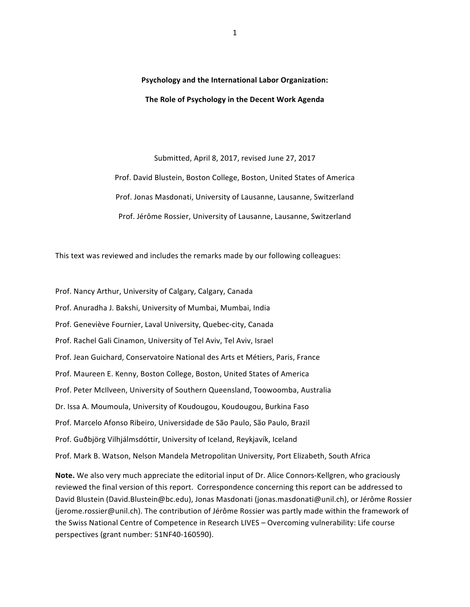**Psychology and the International Labor Organization:** The Role of Psychology in the Decent Work Agenda

Submitted, April 8, 2017, revised June 27, 2017 Prof. David Blustein, Boston College, Boston, United States of America Prof. Jonas Masdonati, University of Lausanne, Lausanne, Switzerland Prof. Jérôme Rossier, University of Lausanne, Lausanne, Switzerland

This text was reviewed and includes the remarks made by our following colleagues:

Prof. Nancy Arthur, University of Calgary, Calgary, Canada Prof. Anuradha J. Bakshi, University of Mumbai, Mumbai, India Prof. Geneviève Fournier, Laval University, Quebec-city, Canada Prof. Rachel Gali Cinamon, University of Tel Aviv, Tel Aviv, Israel Prof. Jean Guichard, Conservatoire National des Arts et Métiers, Paris, France Prof. Maureen E. Kenny, Boston College, Boston, United States of America Prof. Peter McIlveen, University of Southern Queensland, Toowoomba, Australia Dr. Issa A. Moumoula, University of Koudougou, Koudougou, Burkina Faso Prof. Marcelo Afonso Ribeiro, Universidade de São Paulo, São Paulo, Brazil Prof. Guðbjörg Vilhjálmsdóttir, University of Iceland, Reykjavík, Iceland Prof. Mark B. Watson, Nelson Mandela Metropolitan University, Port Elizabeth, South Africa

**Note.** We also very much appreciate the editorial input of Dr. Alice Connors-Kellgren, who graciously reviewed the final version of this report. Correspondence concerning this report can be addressed to David Blustein (David.Blustein@bc.edu), Jonas Masdonati (jonas.masdonati@unil.ch), or Jérôme Rossier (jerome.rossier@unil.ch). The contribution of Jérôme Rossier was partly made within the framework of the Swiss National Centre of Competence in Research LIVES - Overcoming vulnerability: Life course perspectives (grant number: 51NF40-160590).

1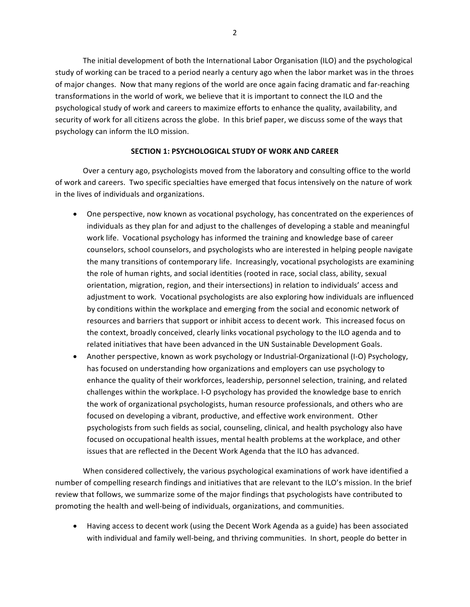The initial development of both the International Labor Organisation (ILO) and the psychological study of working can be traced to a period nearly a century ago when the labor market was in the throes of major changes. Now that many regions of the world are once again facing dramatic and far-reaching transformations in the world of work, we believe that it is important to connect the ILO and the psychological study of work and careers to maximize efforts to enhance the quality, availability, and security of work for all citizens across the globe. In this brief paper, we discuss some of the ways that psychology can inform the ILO mission.

## **SECTION 1: PSYCHOLOGICAL STUDY OF WORK AND CAREER**

Over a century ago, psychologists moved from the laboratory and consulting office to the world of work and careers. Two specific specialties have emerged that focus intensively on the nature of work in the lives of individuals and organizations.

- One perspective, now known as vocational psychology, has concentrated on the experiences of individuals as they plan for and adjust to the challenges of developing a stable and meaningful work life. Vocational psychology has informed the training and knowledge base of career counselors, school counselors, and psychologists who are interested in helping people navigate the many transitions of contemporary life. Increasingly, vocational psychologists are examining the role of human rights, and social identities (rooted in race, social class, ability, sexual orientation, migration, region, and their intersections) in relation to individuals' access and adjustment to work. Vocational psychologists are also exploring how individuals are influenced by conditions within the workplace and emerging from the social and economic network of resources and barriers that support or inhibit access to decent work. This increased focus on the context, broadly conceived, clearly links vocational psychology to the ILO agenda and to related initiatives that have been advanced in the UN Sustainable Development Goals.
- Another perspective, known as work psychology or Industrial-Organizational (I-O) Psychology, has focused on understanding how organizations and employers can use psychology to enhance the quality of their workforces, leadership, personnel selection, training, and related challenges within the workplace. I-O psychology has provided the knowledge base to enrich the work of organizational psychologists, human resource professionals, and others who are focused on developing a vibrant, productive, and effective work environment. Other psychologists from such fields as social, counseling, clinical, and health psychology also have focused on occupational health issues, mental health problems at the workplace, and other issues that are reflected in the Decent Work Agenda that the ILO has advanced.

When considered collectively, the various psychological examinations of work have identified a number of compelling research findings and initiatives that are relevant to the ILO's mission. In the brief review that follows, we summarize some of the major findings that psychologists have contributed to promoting the health and well-being of individuals, organizations, and communities.

Having access to decent work (using the Decent Work Agenda as a guide) has been associated with individual and family well-being, and thriving communities. In short, people do better in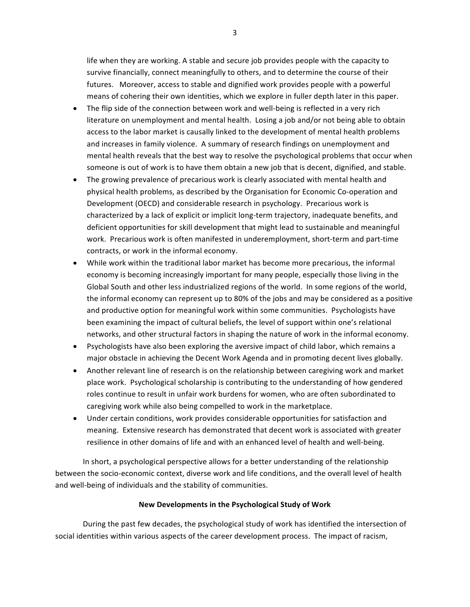life when they are working. A stable and secure job provides people with the capacity to survive financially, connect meaningfully to others, and to determine the course of their futures. Moreover, access to stable and dignified work provides people with a powerful means of cohering their own identities, which we explore in fuller depth later in this paper.

- The flip side of the connection between work and well-being is reflected in a very rich literature on unemployment and mental health. Losing a job and/or not being able to obtain access to the labor market is causally linked to the development of mental health problems and increases in family violence. A summary of research findings on unemployment and mental health reveals that the best way to resolve the psychological problems that occur when someone is out of work is to have them obtain a new job that is decent, dignified, and stable.
- The growing prevalence of precarious work is clearly associated with mental health and physical health problems, as described by the Organisation for Economic Co-operation and Development (OECD) and considerable research in psychology. Precarious work is characterized by a lack of explicit or implicit long-term trajectory, inadequate benefits, and deficient opportunities for skill development that might lead to sustainable and meaningful work. Precarious work is often manifested in underemployment, short-term and part-time contracts, or work in the informal economy.
- While work within the traditional labor market has become more precarious, the informal economy is becoming increasingly important for many people, especially those living in the Global South and other less industrialized regions of the world. In some regions of the world, the informal economy can represent up to 80% of the jobs and may be considered as a positive and productive option for meaningful work within some communities. Psychologists have been examining the impact of cultural beliefs, the level of support within one's relational networks, and other structural factors in shaping the nature of work in the informal economy.
- Psychologists have also been exploring the aversive impact of child labor, which remains a major obstacle in achieving the Decent Work Agenda and in promoting decent lives globally.
- Another relevant line of research is on the relationship between caregiving work and market place work. Psychological scholarship is contributing to the understanding of how gendered roles continue to result in unfair work burdens for women, who are often subordinated to caregiving work while also being compelled to work in the marketplace.
- Under certain conditions, work provides considerable opportunities for satisfaction and meaning. Extensive research has demonstrated that decent work is associated with greater resilience in other domains of life and with an enhanced level of health and well-being.

In short, a psychological perspective allows for a better understanding of the relationship between the socio-economic context, diverse work and life conditions, and the overall level of health and well-being of individuals and the stability of communities.

# **New Developments in the Psychological Study of Work**

During the past few decades, the psychological study of work has identified the intersection of social identities within various aspects of the career development process. The impact of racism,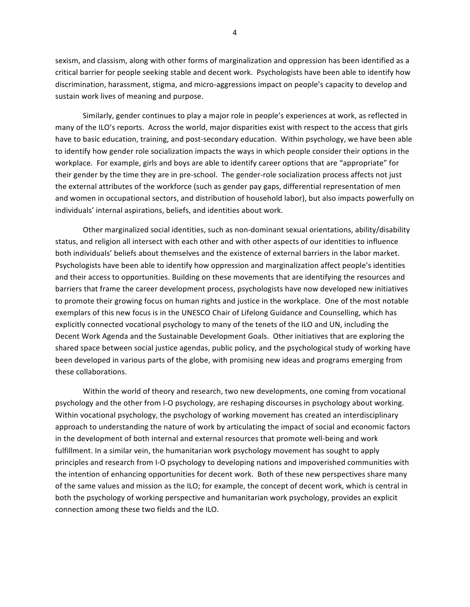sexism, and classism, along with other forms of marginalization and oppression has been identified as a critical barrier for people seeking stable and decent work. Psychologists have been able to identify how discrimination, harassment, stigma, and micro-aggressions impact on people's capacity to develop and sustain work lives of meaning and purpose.

Similarly, gender continues to play a major role in people's experiences at work, as reflected in many of the ILO's reports. Across the world, major disparities exist with respect to the access that girls have to basic education, training, and post-secondary education. Within psychology, we have been able to identify how gender role socialization impacts the ways in which people consider their options in the workplace. For example, girls and boys are able to identify career options that are "appropriate" for their gender by the time they are in pre-school. The gender-role socialization process affects not just the external attributes of the workforce (such as gender pay gaps, differential representation of men and women in occupational sectors, and distribution of household labor), but also impacts powerfully on individuals' internal aspirations, beliefs, and identities about work.

Other marginalized social identities, such as non-dominant sexual orientations, ability/disability status, and religion all intersect with each other and with other aspects of our identities to influence both individuals' beliefs about themselves and the existence of external barriers in the labor market. Psychologists have been able to identify how oppression and marginalization affect people's identities and their access to opportunities. Building on these movements that are identifying the resources and barriers that frame the career development process, psychologists have now developed new initiatives to promote their growing focus on human rights and justice in the workplace. One of the most notable exemplars of this new focus is in the UNESCO Chair of Lifelong Guidance and Counselling, which has explicitly connected vocational psychology to many of the tenets of the ILO and UN, including the Decent Work Agenda and the Sustainable Development Goals. Other initiatives that are exploring the shared space between social justice agendas, public policy, and the psychological study of working have been developed in various parts of the globe, with promising new ideas and programs emerging from these collaborations.

Within the world of theory and research, two new developments, one coming from vocational psychology and the other from I-O psychology, are reshaping discourses in psychology about working. Within vocational psychology, the psychology of working movement has created an interdisciplinary approach to understanding the nature of work by articulating the impact of social and economic factors in the development of both internal and external resources that promote well-being and work fulfillment. In a similar vein, the humanitarian work psychology movement has sought to apply principles and research from I-O psychology to developing nations and impoverished communities with the intention of enhancing opportunities for decent work. Both of these new perspectives share many of the same values and mission as the ILO; for example, the concept of decent work, which is central in both the psychology of working perspective and humanitarian work psychology, provides an explicit connection among these two fields and the ILO.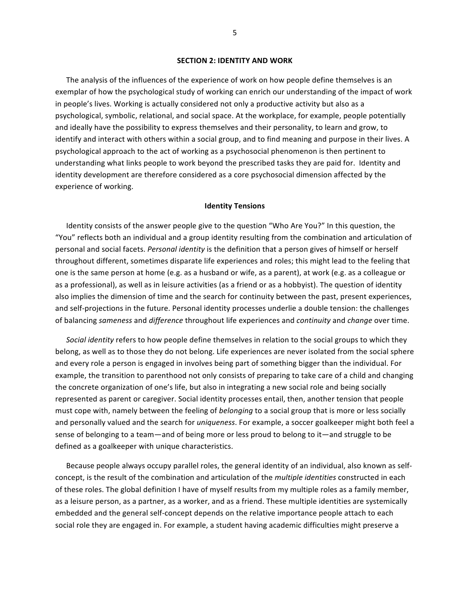#### **SECTION 2: IDENTITY AND WORK**

The analysis of the influences of the experience of work on how people define themselves is an exemplar of how the psychological study of working can enrich our understanding of the impact of work in people's lives. Working is actually considered not only a productive activity but also as a psychological, symbolic, relational, and social space. At the workplace, for example, people potentially and ideally have the possibility to express themselves and their personality, to learn and grow, to identify and interact with others within a social group, and to find meaning and purpose in their lives. A psychological approach to the act of working as a psychosocial phenomenon is then pertinent to understanding what links people to work beyond the prescribed tasks they are paid for. Identity and identity development are therefore considered as a core psychosocial dimension affected by the experience of working.

## **Identity Tensions**

Identity consists of the answer people give to the question "Who Are You?" In this question, the "You" reflects both an individual and a group identity resulting from the combination and articulation of personal and social facets. *Personal identity* is the definition that a person gives of himself or herself throughout different, sometimes disparate life experiences and roles; this might lead to the feeling that one is the same person at home (e.g. as a husband or wife, as a parent), at work (e.g. as a colleague or as a professional), as well as in leisure activities (as a friend or as a hobbyist). The question of identity also implies the dimension of time and the search for continuity between the past, present experiences, and self-projections in the future. Personal identity processes underlie a double tension: the challenges of balancing *sameness* and *difference* throughout life experiences and *continuity* and *change* over time.

*Social identity* refers to how people define themselves in relation to the social groups to which they belong, as well as to those they do not belong. Life experiences are never isolated from the social sphere and every role a person is engaged in involves being part of something bigger than the individual. For example, the transition to parenthood not only consists of preparing to take care of a child and changing the concrete organization of one's life, but also in integrating a new social role and being socially represented as parent or caregiver. Social identity processes entail, then, another tension that people must cope with, namely between the feeling of *belonging* to a social group that is more or less socially and personally valued and the search for *uniqueness*. For example, a soccer goalkeeper might both feel a sense of belonging to a team—and of being more or less proud to belong to it—and struggle to be defined as a goalkeeper with unique characteristics.

Because people always occupy parallel roles, the general identity of an individual, also known as selfconcept, is the result of the combination and articulation of the *multiple identities* constructed in each of these roles. The global definition I have of myself results from my multiple roles as a family member, as a leisure person, as a partner, as a worker, and as a friend. These multiple identities are systemically embedded and the general self-concept depends on the relative importance people attach to each social role they are engaged in. For example, a student having academic difficulties might preserve a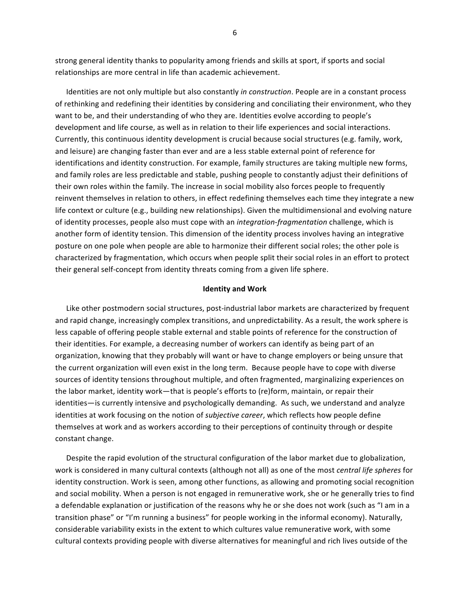strong general identity thanks to popularity among friends and skills at sport, if sports and social relationships are more central in life than academic achievement.

Identities are not only multiple but also constantly *in construction*. People are in a constant process of rethinking and redefining their identities by considering and conciliating their environment, who they want to be, and their understanding of who they are. Identities evolve according to people's development and life course, as well as in relation to their life experiences and social interactions. Currently, this continuous identity development is crucial because social structures (e.g. family, work, and leisure) are changing faster than ever and are a less stable external point of reference for identifications and identity construction. For example, family structures are taking multiple new forms, and family roles are less predictable and stable, pushing people to constantly adjust their definitions of their own roles within the family. The increase in social mobility also forces people to frequently reinvent themselves in relation to others, in effect redefining themselves each time they integrate a new life context or culture (e.g., building new relationships). Given the multidimensional and evolving nature of identity processes, people also must cope with an *integration-fragmentation* challenge, which is another form of identity tension. This dimension of the identity process involves having an integrative posture on one pole when people are able to harmonize their different social roles; the other pole is characterized by fragmentation, which occurs when people split their social roles in an effort to protect their general self-concept from identity threats coming from a given life sphere.

#### **Identity and Work**

Like other postmodern social structures, post-industrial labor markets are characterized by frequent and rapid change, increasingly complex transitions, and unpredictability. As a result, the work sphere is less capable of offering people stable external and stable points of reference for the construction of their identities. For example, a decreasing number of workers can identify as being part of an organization, knowing that they probably will want or have to change employers or being unsure that the current organization will even exist in the long term. Because people have to cope with diverse sources of identity tensions throughout multiple, and often fragmented, marginalizing experiences on the labor market, identity work—that is people's efforts to (re)form, maintain, or repair their identities—is currently intensive and psychologically demanding. As such, we understand and analyze identities at work focusing on the notion of *subjective career*, which reflects how people define themselves at work and as workers according to their perceptions of continuity through or despite constant change.

Despite the rapid evolution of the structural configuration of the labor market due to globalization, work is considered in many cultural contexts (although not all) as one of the most *central life spheres* for identity construction. Work is seen, among other functions, as allowing and promoting social recognition and social mobility. When a person is not engaged in remunerative work, she or he generally tries to find a defendable explanation or justification of the reasons why he or she does not work (such as "I am in a transition phase" or "I'm running a business" for people working in the informal economy). Naturally, considerable variability exists in the extent to which cultures value remunerative work, with some cultural contexts providing people with diverse alternatives for meaningful and rich lives outside of the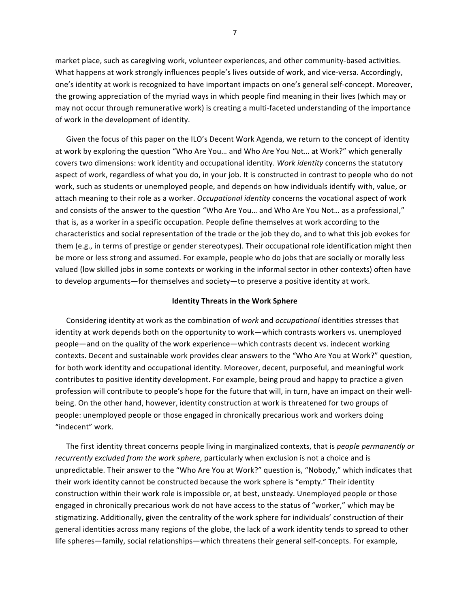market place, such as caregiving work, volunteer experiences, and other community-based activities. What happens at work strongly influences people's lives outside of work, and vice-versa. Accordingly, one's identity at work is recognized to have important impacts on one's general self-concept. Moreover, the growing appreciation of the myriad ways in which people find meaning in their lives (which may or may not occur through remunerative work) is creating a multi-faceted understanding of the importance of work in the development of identity.

Given the focus of this paper on the ILO's Decent Work Agenda, we return to the concept of identity at work by exploring the question "Who Are You... and Who Are You Not... at Work?" which generally covers two dimensions: work identity and occupational identity. Work identity concerns the statutory aspect of work, regardless of what you do, in your job. It is constructed in contrast to people who do not work, such as students or unemployed people, and depends on how individuals identify with, value, or attach meaning to their role as a worker. *Occupational identity* concerns the vocational aspect of work and consists of the answer to the question "Who Are You... and Who Are You Not... as a professional," that is, as a worker in a specific occupation. People define themselves at work according to the characteristics and social representation of the trade or the job they do, and to what this job evokes for them (e.g., in terms of prestige or gender stereotypes). Their occupational role identification might then be more or less strong and assumed. For example, people who do jobs that are socially or morally less valued (low skilled jobs in some contexts or working in the informal sector in other contexts) often have to develop arguments—for themselves and society—to preserve a positive identity at work.

#### **Identity Threats in the Work Sphere**

Considering identity at work as the combination of work and *occupational* identities stresses that identity at work depends both on the opportunity to work—which contrasts workers vs. unemployed people—and on the quality of the work experience—which contrasts decent vs. indecent working contexts. Decent and sustainable work provides clear answers to the "Who Are You at Work?" question, for both work identity and occupational identity. Moreover, decent, purposeful, and meaningful work contributes to positive identity development. For example, being proud and happy to practice a given profession will contribute to people's hope for the future that will, in turn, have an impact on their wellbeing. On the other hand, however, identity construction at work is threatened for two groups of people: unemployed people or those engaged in chronically precarious work and workers doing "indecent" work.

The first identity threat concerns people living in marginalized contexts, that is *people permanently or recurrently excluded from the work sphere*, particularly when exclusion is not a choice and is unpredictable. Their answer to the "Who Are You at Work?" question is, "Nobody," which indicates that their work identity cannot be constructed because the work sphere is "empty." Their identity construction within their work role is impossible or, at best, unsteady. Unemployed people or those engaged in chronically precarious work do not have access to the status of "worker," which may be stigmatizing. Additionally, given the centrality of the work sphere for individuals' construction of their general identities across many regions of the globe, the lack of a work identity tends to spread to other life spheres—family, social relationships—which threatens their general self-concepts. For example,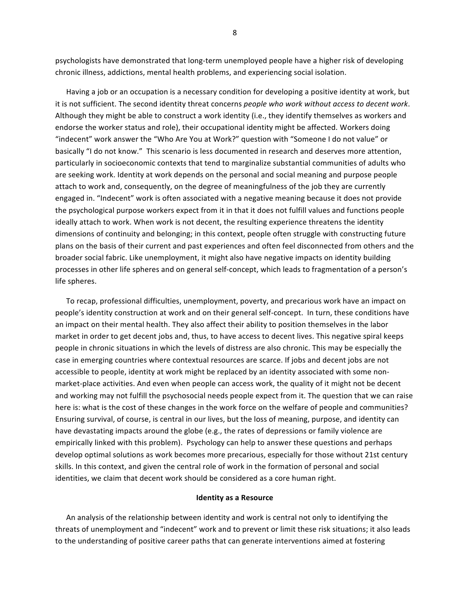psychologists have demonstrated that long-term unemployed people have a higher risk of developing chronic illness, addictions, mental health problems, and experiencing social isolation.

Having a job or an occupation is a necessary condition for developing a positive identity at work, but it is not sufficient. The second identity threat concerns *people who work without access to decent work*. Although they might be able to construct a work identity (i.e., they identify themselves as workers and endorse the worker status and role), their occupational identity might be affected. Workers doing "indecent" work answer the "Who Are You at Work?" question with "Someone I do not value" or basically "I do not know." This scenario is less documented in research and deserves more attention, particularly in socioeconomic contexts that tend to marginalize substantial communities of adults who are seeking work. Identity at work depends on the personal and social meaning and purpose people attach to work and, consequently, on the degree of meaningfulness of the job they are currently engaged in. "Indecent" work is often associated with a negative meaning because it does not provide the psychological purpose workers expect from it in that it does not fulfill values and functions people ideally attach to work. When work is not decent, the resulting experience threatens the identity dimensions of continuity and belonging; in this context, people often struggle with constructing future plans on the basis of their current and past experiences and often feel disconnected from others and the broader social fabric. Like unemployment, it might also have negative impacts on identity building processes in other life spheres and on general self-concept, which leads to fragmentation of a person's life spheres.

To recap, professional difficulties, unemployment, poverty, and precarious work have an impact on people's identity construction at work and on their general self-concept. In turn, these conditions have an impact on their mental health. They also affect their ability to position themselves in the labor market in order to get decent jobs and, thus, to have access to decent lives. This negative spiral keeps people in chronic situations in which the levels of distress are also chronic. This may be especially the case in emerging countries where contextual resources are scarce. If jobs and decent jobs are not accessible to people, identity at work might be replaced by an identity associated with some nonmarket-place activities. And even when people can access work, the quality of it might not be decent and working may not fulfill the psychosocial needs people expect from it. The question that we can raise here is: what is the cost of these changes in the work force on the welfare of people and communities? Ensuring survival, of course, is central in our lives, but the loss of meaning, purpose, and identity can have devastating impacts around the globe (e.g., the rates of depressions or family violence are empirically linked with this problem). Psychology can help to answer these questions and perhaps develop optimal solutions as work becomes more precarious, especially for those without 21st century skills. In this context, and given the central role of work in the formation of personal and social identities, we claim that decent work should be considered as a core human right.

### **Identity as a Resource**

An analysis of the relationship between identity and work is central not only to identifying the threats of unemployment and "indecent" work and to prevent or limit these risk situations; it also leads to the understanding of positive career paths that can generate interventions aimed at fostering

8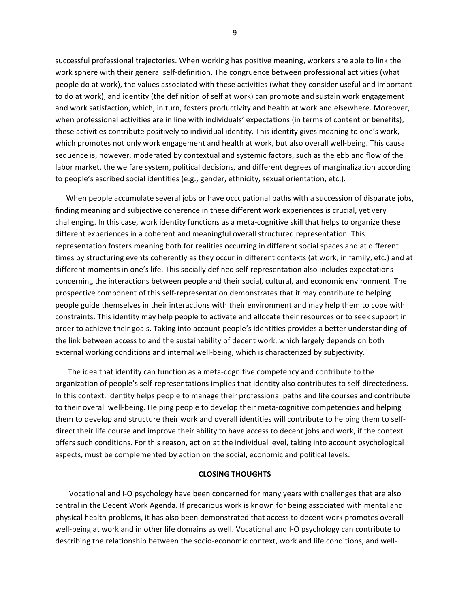successful professional trajectories. When working has positive meaning, workers are able to link the work sphere with their general self-definition. The congruence between professional activities (what people do at work), the values associated with these activities (what they consider useful and important to do at work), and identity (the definition of self at work) can promote and sustain work engagement and work satisfaction, which, in turn, fosters productivity and health at work and elsewhere. Moreover, when professional activities are in line with individuals' expectations (in terms of content or benefits), these activities contribute positively to individual identity. This identity gives meaning to one's work, which promotes not only work engagement and health at work, but also overall well-being. This causal sequence is, however, moderated by contextual and systemic factors, such as the ebb and flow of the labor market, the welfare system, political decisions, and different degrees of marginalization according to people's ascribed social identities (e.g., gender, ethnicity, sexual orientation, etc.).

When people accumulate several jobs or have occupational paths with a succession of disparate jobs, finding meaning and subjective coherence in these different work experiences is crucial, yet very challenging. In this case, work identity functions as a meta-cognitive skill that helps to organize these different experiences in a coherent and meaningful overall structured representation. This representation fosters meaning both for realities occurring in different social spaces and at different times by structuring events coherently as they occur in different contexts (at work, in family, etc.) and at different moments in one's life. This socially defined self-representation also includes expectations concerning the interactions between people and their social, cultural, and economic environment. The prospective component of this self-representation demonstrates that it may contribute to helping people guide themselves in their interactions with their environment and may help them to cope with constraints. This identity may help people to activate and allocate their resources or to seek support in order to achieve their goals. Taking into account people's identities provides a better understanding of the link between access to and the sustainability of decent work, which largely depends on both external working conditions and internal well-being, which is characterized by subjectivity.

The idea that identity can function as a meta-cognitive competency and contribute to the organization of people's self-representations implies that identity also contributes to self-directedness. In this context, identity helps people to manage their professional paths and life courses and contribute to their overall well-being. Helping people to develop their meta-cognitive competencies and helping them to develop and structure their work and overall identities will contribute to helping them to selfdirect their life course and improve their ability to have access to decent jobs and work, if the context offers such conditions. For this reason, action at the individual level, taking into account psychological aspects, must be complemented by action on the social, economic and political levels.

### **CLOSING THOUGHTS**

Vocational and I-O psychology have been concerned for many years with challenges that are also central in the Decent Work Agenda. If precarious work is known for being associated with mental and physical health problems, it has also been demonstrated that access to decent work promotes overall well-being at work and in other life domains as well. Vocational and I-O psychology can contribute to describing the relationship between the socio-economic context, work and life conditions, and well-

9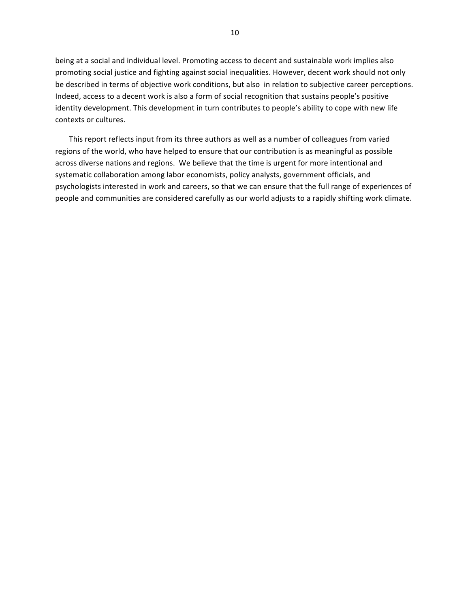being at a social and individual level. Promoting access to decent and sustainable work implies also promoting social justice and fighting against social inequalities. However, decent work should not only be described in terms of objective work conditions, but also in relation to subjective career perceptions. Indeed, access to a decent work is also a form of social recognition that sustains people's positive identity development. This development in turn contributes to people's ability to cope with new life contexts or cultures.

This report reflects input from its three authors as well as a number of colleagues from varied regions of the world, who have helped to ensure that our contribution is as meaningful as possible across diverse nations and regions. We believe that the time is urgent for more intentional and systematic collaboration among labor economists, policy analysts, government officials, and psychologists interested in work and careers, so that we can ensure that the full range of experiences of people and communities are considered carefully as our world adjusts to a rapidly shifting work climate.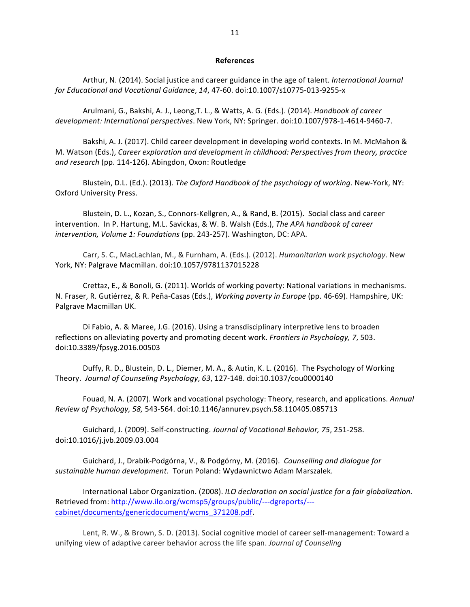#### **References**

Arthur, N. (2014). Social justice and career guidance in the age of talent. *International Journal for Educational and Vocational Guidance*, *14*, 47-60. doi:10.1007/s10775-013-9255-x

Arulmani, G., Bakshi, A. J., Leong, T. L., & Watts, A. G. (Eds.). (2014). *Handbook of career development: International perspectives*. New York, NY: Springer. doi:10.1007/978-1-4614-9460-7.

Bakshi, A. J. (2017). Child career development in developing world contexts. In M. McMahon & M. Watson (Eds.), *Career exploration and development in childhood: Perspectives from theory, practice* and research (pp. 114-126). Abingdon, Oxon: Routledge

Blustein, D.L. (Ed.). (2013). *The Oxford Handbook of the psychology of working*. New-York, NY: Oxford University Press.

Blustein, D. L., Kozan, S., Connors-Kellgren, A., & Rand, B. (2015). Social class and career intervention. In P. Hartung, M.L. Savickas, & W. B. Walsh (Eds.), *The APA handbook of career intervention, Volume 1: Foundations* (pp. 243-257). Washington, DC: APA.

Carr, S. C., MacLachlan, M., & Furnham, A. (Eds.). (2012). *Humanitarian work psychology*. New York, NY: Palgrave Macmillan. doi:10.1057/9781137015228

Crettaz, E., & Bonoli, G. (2011). Worlds of working poverty: National variations in mechanisms. N. Fraser, R. Gutiérrez, & R. Peña-Casas (Eds.), Working poverty in Europe (pp. 46-69). Hampshire, UK: Palgrave Macmillan UK.

Di Fabio, A. & Maree, J.G. (2016). Using a transdisciplinary interpretive lens to broaden reflections on alleviating poverty and promoting decent work. *Frontiers in Psychology, 7*, 503. doi:10.3389/fpsyg.2016.00503

Duffy, R. D., Blustein, D. L., Diemer, M. A., & Autin, K. L. (2016). The Psychology of Working Theory. *Journal of Counseling Psychology*, *63*, 127-148. doi:10.1037/cou0000140

Fouad, N. A. (2007). Work and vocational psychology: Theory, research, and applications. *Annual Review of Psychology, 58,* 543-564. doi:10.1146/annurev.psych.58.110405.085713

Guichard, J. (2009). Self-constructing. Journal of Vocational Behavior, 75, 251-258. doi:10.1016/j.jvb.2009.03.004

Guichard, J., Drabik-Podgórna, V., & Podgórny, M. (2016). *Counselling and dialoque for* sustainable human development. Torun Poland: Wydawnictwo Adam Marszalek.

International Labor Organization. (2008). *ILO declaration on social justice for a fair globalization.* Retrieved from: http://www.ilo.org/wcmsp5/groups/public/---dgreports/--cabinet/documents/genericdocument/wcms\_371208.pdf.

Lent, R. W., & Brown, S. D. (2013). Social cognitive model of career self-management: Toward a unifying view of adaptive career behavior across the life span. *Journal of Counseling*